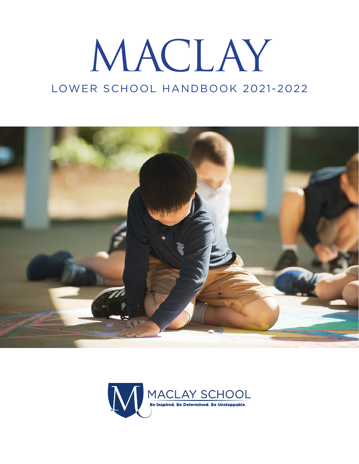# MACLAY LOWER SCHOOL HANDBOOK 2021-2022



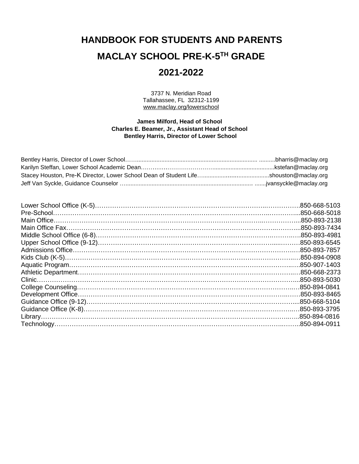# **HANDBOOK FOR STUDENTS AND PARENTS MACLAY SCHOOL PRE-K-5 TH GRADE 2021-2022**

3737 N. Meridian Road Tallahassee, FL 32312-1199 www.maclay.org/lowerschool

#### **James Milford, Head of School Charles E. Beamer, Jr., Assistant Head of School Bentley Harris, Director of Lower School**

| .850-893-7434 |
|---------------|
| .850-893-4981 |
|               |
|               |
|               |
|               |
| .850-668-2373 |
| .850-893-5030 |
|               |
|               |
| .850-668-5104 |
|               |
| .850-894-0816 |
| .850-894-0911 |
|               |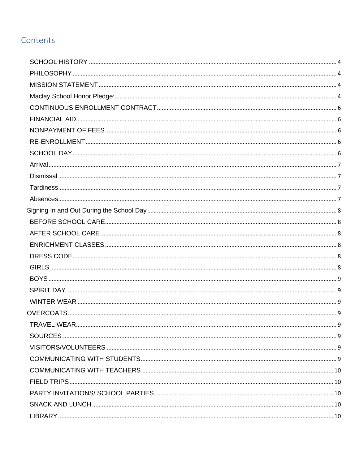# Contents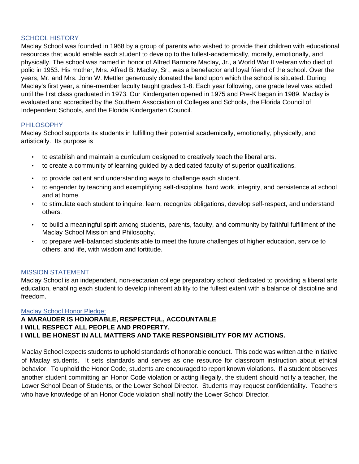# <span id="page-4-0"></span>SCHOOL HISTORY

Maclay School was founded in 1968 by a group of parents who wished to provide their children with educational resources that would enable each student to develop to the fullest-academically, morally, emotionally, and physically. The school was named in honor of Alfred Barmore Maclay, Jr., a World War II veteran who died of polio in 1953. His mother, Mrs. Alfred B. Maclay, Sr., was a benefactor and loyal friend of the school. Over the years, Mr. and Mrs. John W. Mettler generously donated the land upon which the school is situated. During Maclay's first year, a nine-member faculty taught grades 1-8. Each year following, one grade level was added until the first class graduated in 1973. Our Kindergarten opened in 1975 and Pre-K began in 1989. Maclay is evaluated and accredited by the Southern Association of Colleges and Schools, the Florida Council of Independent Schools, and the Florida Kindergarten Council.

#### <span id="page-4-1"></span>PHILOSOPHY

Maclay School supports its students in fulfilling their potential academically, emotionally, physically, and artistically. Its purpose is

- to establish and maintain a curriculum designed to creatively teach the liberal arts.
- to create a community of learning guided by a dedicated faculty of superior qualifications.
- to provide patient and understanding ways to challenge each student.
- to engender by teaching and exemplifying self-discipline, hard work, integrity, and persistence at school and at home.
- to stimulate each student to inquire, learn, recognize obligations, develop self-respect, and understand others.
- to build a meaningful spirit among students, parents, faculty, and community by faithful fulfillment of the Maclay School Mission and Philosophy.
- to prepare well-balanced students able to meet the future challenges of higher education, service to others, and life, with wisdom and fortitude.

# <span id="page-4-2"></span>MISSION STATEMENT

Maclay School is an independent, non-sectarian college preparatory school dedicated to providing a liberal arts education, enabling each student to develop inherent ability to the fullest extent with a balance of discipline and freedom.

#### <span id="page-4-3"></span>Maclay School Honor Pledge:

# **A MARAUDER IS HONORABLE, RESPECTFUL, ACCOUNTABLE I WILL RESPECT ALL PEOPLE AND PROPERTY. I WILL BE HONEST IN ALL MATTERS AND TAKE RESPONSIBILITY FOR MY ACTIONS.**

Maclay School expects students to uphold standards of honorable conduct. This code was written at the initiative of Maclay students. It sets standards and serves as one resource for classroom instruction about ethical behavior. To uphold the Honor Code, students are encouraged to report known violations. If a student observes another student committing an Honor Code violation or acting illegally, the student should notify a teacher, the Lower School Dean of Students, or the Lower School Director. Students may request confidentiality. Teachers who have knowledge of an Honor Code violation shall notify the Lower School Director.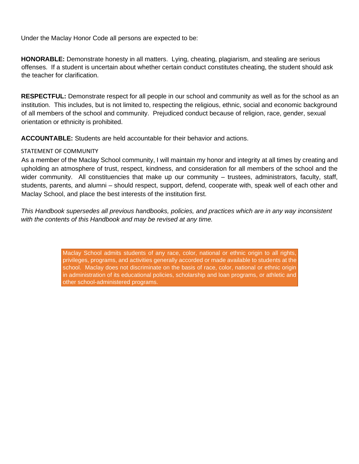Under the Maclay Honor Code all persons are expected to be:

**HONORABLE:** Demonstrate honesty in all matters. Lying, cheating, plagiarism, and stealing are serious offenses. If a student is uncertain about whether certain conduct constitutes cheating, the student should ask the teacher for clarification.

**RESPECTFUL:** Demonstrate respect for all people in our school and community as well as for the school as an institution. This includes, but is not limited to, respecting the religious, ethnic, social and economic background of all members of the school and community. Prejudiced conduct because of religion, race, gender, sexual orientation or ethnicity is prohibited.

**ACCOUNTABLE:** Students are held accountable for their behavior and actions.

# STATEMENT OF COMMUNITY

As a member of the Maclay School community, I will maintain my honor and integrity at all times by creating and upholding an atmosphere of trust, respect, kindness, and consideration for all members of the school and the wider community. All constituencies that make up our community – trustees, administrators, faculty, staff, students, parents, and alumni – should respect, support, defend, cooperate with, speak well of each other and Maclay School, and place the best interests of the institution first.

*This Handbook supersedes all previous handbooks, policies, and practices which are in any way inconsistent with the contents of this Handbook and may be revised at any time.*

> Maclay School admits students of any race, color, national or ethnic origin to all rights, privileges, programs, and activities generally accorded or made available to students at the school. Maclay does not discriminate on the basis of race, color, national or ethnic origin in administration of its educational policies, scholarship and loan programs, or athletic and other school-administered programs.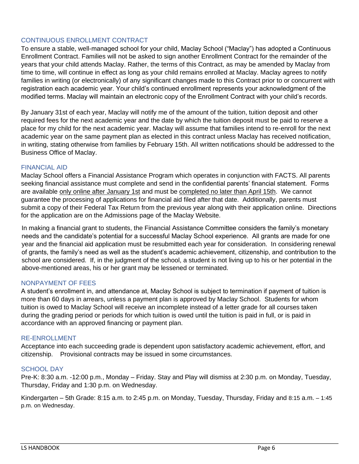# <span id="page-6-0"></span>CONTINUOUS ENROLLMENT CONTRACT

To ensure a stable, well-managed school for your child, Maclay School ("Maclay") has adopted a Continuous Enrollment Contract. Families will not be asked to sign another Enrollment Contract for the remainder of the years that your child attends Maclay. Rather, the terms of this Contract, as may be amended by Maclay from time to time, will continue in effect as long as your child remains enrolled at Maclay. Maclay agrees to notify families in writing (or electronically) of any significant changes made to this Contract prior to or concurrent with registration each academic year. Your child's continued enrollment represents your acknowledgment of the modified terms. Maclay will maintain an electronic copy of the Enrollment Contract with your child's records.

By January 31st of each year, Maclay will notify me of the amount of the tuition, tuition deposit and other required fees for the next academic year and the date by which the tuition deposit must be paid to reserve a place for my child for the next academic year. Maclay will assume that families intend to re-enroll for the next academic year on the same payment plan as elected in this contract unless Maclay has received notification, in writing, stating otherwise from families by February 15th. All written notifications should be addressed to the Business Office of Maclay.

# <span id="page-6-1"></span>FINANCIAL AID

Maclay School offers a Financial Assistance Program which operates in conjunction with FACTS. All parents seeking financial assistance must complete and send in the confidential parents' financial statement. Forms are available only online after January 1st and must be completed no later than April 15th. We cannot guarantee the processing of applications for financial aid filed after that date. Additionally, parents must submit a copy of their Federal Tax Return from the previous year along with their application online. Directions for the application are on the Admissions page of the Maclay Website.

In making a financial grant to students, the Financial Assistance Committee considers the family's monetary needs and the candidate's potential for a successful Maclay School experience. All grants are made for one year and the financial aid application must be resubmitted each year for consideration. In considering renewal of grants, the family's need as well as the student's academic achievement, citizenship, and contribution to the school are considered. If, in the judgment of the school, a student is not living up to his or her potential in the above-mentioned areas, his or her grant may be lessened or terminated.

# <span id="page-6-2"></span>NONPAYMENT OF FEES

A student's enrollment in, and attendance at, Maclay School is subject to termination if payment of tuition is more than 60 days in arrears, unless a payment plan is approved by Maclay School. Students for whom tuition is owed to Maclay School will receive an incomplete instead of a letter grade for all courses taken during the grading period or periods for which tuition is owed until the tuition is paid in full, or is paid in accordance with an approved financing or payment plan.

# <span id="page-6-3"></span>RE-ENROLLMENT

Acceptance into each succeeding grade is dependent upon satisfactory academic achievement, effort, and citizenship. Provisional contracts may be issued in some circumstances.

# <span id="page-6-4"></span>SCHOOL DAY

Pre-K: 8:30 a.m. -12:00 p.m., Monday – Friday. Stay and Play will dismiss at 2:30 p.m. on Monday, Tuesday, Thursday, Friday and 1:30 p.m. on Wednesday.

Kindergarten – 5th Grade: 8:15 a.m. to 2:45 p.m. on Monday, Tuesday, Thursday, Friday and 8:15 a.m. – 1:45 p.m. on Wednesday.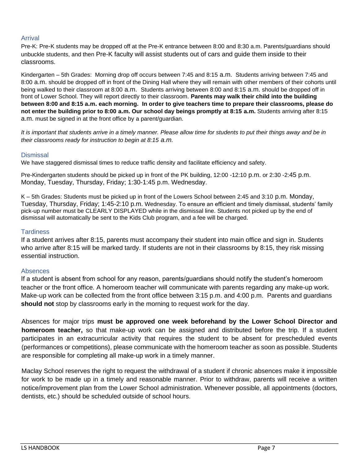# <span id="page-7-0"></span>Arrival

Pre-K: Pre-K students may be dropped off at the Pre-K entrance between 8:00 and 8:30 a.m. Parents/guardians should unbuckle students, and then Pre-K faculty will assist students out of cars and guide them inside to their classrooms.

Kindergarten – 5th Grades: Morning drop off occurs between 7:45 and 8:15 a.m. Students arriving between 7:45 and 8:00 a.m. should be dropped off in front of the Dining Hall where they will remain with other members of their cohorts until being walked to their classroom at 8:00 a.m. Students arriving between 8:00 and 8:15 a.m. should be dropped off in front of Lower School. They will report directly to their classroom. **Parents may walk their child into the building between 8:00 and 8:15 a.m. each morning. In order to give teachers time to prepare their classrooms, please do not enter the building prior to 8:00 a.m. Our school day beings promptly at 8:15 a.m.** Students arriving after 8:15 a.m. must be signed in at the front office by a parent/guardian.

*It is important that students arrive in a timely manner. Please allow time for students to put their things away and be in their classrooms ready for instruction to begin at 8:15 a.m.*

#### <span id="page-7-1"></span>**Dismissal**

We have staggered dismissal times to reduce traffic density and facilitate efficiency and safety.

Pre-Kindergarten students should be picked up in front of the PK building, 12:00 -12:10 p.m. or 2:30 -2:45 p.m. Monday, Tuesday, Thursday, Friday; 1:30-1:45 p.m. Wednesday.

K – 5th Grades: Students must be picked up in front of the Lowers School between 2:45 and 3:10 p.m. Monday, Tuesday, Thursday, Friday; 1:45-2:10 p.m. Wednesday. To ensure an efficient and timely dismissal, students' family pick-up number must be CLEARLY DISPLAYED while in the dismissal line. Students not picked up by the end of dismissal will automatically be sent to the Kids Club program, and a fee will be charged.

#### <span id="page-7-2"></span>**Tardiness**

If a student arrives after 8:15, parents must accompany their student into main office and sign in. Students who arrive after 8:15 will be marked tardy. If students are not in their classrooms by 8:15, they risk missing essential instruction.

# <span id="page-7-3"></span>Absences

If a student is absent from school for any reason, parents/guardians should notify the student's homeroom teacher or the front office. A homeroom teacher will communicate with parents regarding any make-up work. Make-up work can be collected from the front office between 3:15 p.m. and 4:00 p.m. Parents and guardians **should not** stop by classrooms early in the morning to request work for the day.

Absences for major trips **must be approved one week beforehand by the Lower School Director and homeroom teacher,** so that make-up work can be assigned and distributed before the trip. If a student participates in an extracurricular activity that requires the student to be absent for prescheduled events (performances or competitions), please communicate with the homeroom teacher as soon as possible. Students are responsible for completing all make-up work in a timely manner.

Maclay School reserves the right to request the withdrawal of a student if chronic absences make it impossible for work to be made up in a timely and reasonable manner. Prior to withdraw, parents will receive a written notice/improvement plan from the Lower School administration. Whenever possible, all appointments (doctors, dentists, etc.) should be scheduled outside of school hours.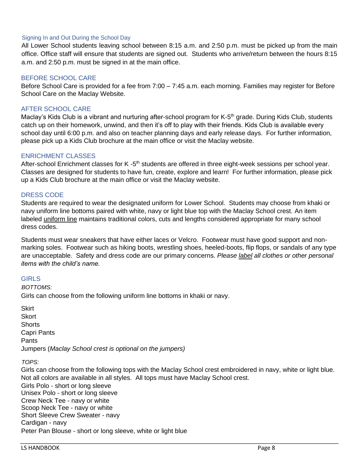#### <span id="page-8-0"></span>Signing In and Out During the School Day

All Lower School students leaving school between 8:15 a.m. and 2:50 p.m. must be picked up from the main office. Office staff will ensure that students are signed out. Students who arrive/return between the hours 8:15 a.m. and 2:50 p.m. must be signed in at the main office.

#### <span id="page-8-1"></span>BEFORE SCHOOL CARE

Before School Care is provided for a fee from 7:00 – 7:45 a.m. each morning. Families may register for Before School Care on the Maclay Website.

#### <span id="page-8-2"></span>AFTER SCHOOL CARE

Maclay's Kids Club is a vibrant and nurturing after-school program for K-5<sup>th</sup> grade. During Kids Club, students catch up on their homework, unwind, and then it's off to play with their friends. Kids Club is available every school day until 6:00 p.m. and also on teacher planning days and early release days. For further information, please pick up a Kids Club brochure at the main office or visit the Maclay website.

#### <span id="page-8-3"></span>ENRICHMENT CLASSES

After-school Enrichment classes for K -5<sup>th</sup> students are offered in three eight-week sessions per school year. Classes are designed for students to have fun, create, explore and learn! For further information, please pick up a Kids Club brochure at the main office or visit the Maclay website.

#### <span id="page-8-4"></span>DRESS CODE

Students are required to wear the designated uniform for Lower School. Students may choose from khaki or navy uniform line bottoms paired with white, navy or light blue top with the Maclay School crest. An item labeled uniform line maintains traditional colors, cuts and lengths considered appropriate for many school dress codes.

Students must wear sneakers that have either laces or Velcro. Footwear must have good support and nonmarking soles. Footwear such as hiking boots, wrestling shoes, heeled-boots, flip flops, or sandals of any type are unacceptable. Safety and dress code are our primary concerns. *Please label all clothes or other personal items with the child's name.* 

#### <span id="page-8-5"></span>**GIRLS**

*BOTTOMS:*  Girls can choose from the following uniform line bottoms in khaki or navy.

**Skirt Skort Shorts** Capri Pants Pants Jumpers (*Maclay School crest is optional on the jumpers)*

#### *TOPS:*

Girls can choose from the following tops with the Maclay School crest embroidered in navy, white or light blue. Not all colors are available in all styles. All tops must have Maclay School crest. Girls Polo - short or long sleeve Unisex Polo - short or long sleeve Crew Neck Tee - navy or white Scoop Neck Tee - navy or white Short Sleeve Crew Sweater - navy Cardigan - navy Peter Pan Blouse - short or long sleeve, white or light blue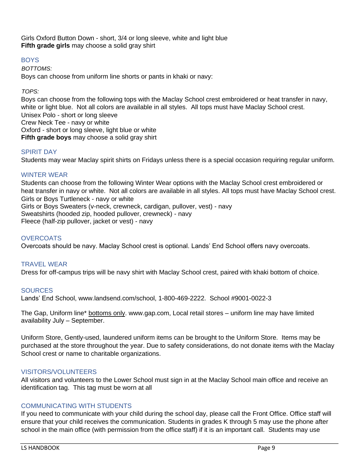Girls Oxford Button Down - short, 3/4 or long sleeve, white and light blue **Fifth grade girls** may choose a solid gray shirt

# <span id="page-9-0"></span>BOYS

*BOTTOMS:*  Boys can choose from uniform line shorts or pants in khaki or navy:

#### *TOPS:*

Boys can choose from the following tops with the Maclay School crest embroidered or heat transfer in navy, white or light blue. Not all colors are available in all styles. All tops must have Maclay School crest. Unisex Polo - short or long sleeve Crew Neck Tee - navy or white Oxford - short or long sleeve, light blue or white **Fifth grade boys** may choose a solid gray shirt

# <span id="page-9-1"></span>SPIRIT DAY

Students may wear Maclay spirit shirts on Fridays unless there is a special occasion requiring regular uniform.

#### <span id="page-9-2"></span>WINTER WEAR

Students can choose from the following Winter Wear options with the Maclay School crest embroidered or heat transfer in navy or white. Not all colors are available in all styles. All tops must have Maclay School crest. Girls or Boys Turtleneck - navy or white Girls or Boys Sweaters (v-neck, crewneck, cardigan, pullover, vest) - navy Sweatshirts (hooded zip, hooded pullover, crewneck) - navy Fleece (half-zip pullover, jacket or vest) - navy

# <span id="page-9-3"></span>**OVERCOATS**

Overcoats should be navy. Maclay School crest is optional. Lands' End School offers navy overcoats.

#### <span id="page-9-4"></span>TRAVEL WEAR

Dress for off-campus trips will be navy shirt with Maclay School crest, paired with khaki bottom of choice.

#### <span id="page-9-5"></span>**SOURCES**

Lands' End School, www.landsend.com/school, 1-800-469-2222. School #9001-0022-3

The Gap, Uniform line\* bottoms only. www.gap.com, Local retail stores – uniform line may have limited availability July – September.

Uniform Store, Gently-used, laundered uniform items can be brought to the Uniform Store. Items may be purchased at the store throughout the year. Due to safety considerations, do not donate items with the Maclay School crest or name to charitable organizations.

#### <span id="page-9-6"></span>VISITORS/VOLUNTEERS

All visitors and volunteers to the Lower School must sign in at the Maclay School main office and receive an identification tag. This tag must be worn at all

# <span id="page-9-7"></span>COMMUNICATING WITH STUDENTS

If you need to communicate with your child during the school day, please call the Front Office. Office staff will ensure that your child receives the communication. Students in grades K through 5 may use the phone after school in the main office (with permission from the office staff) if it is an important call. Students may use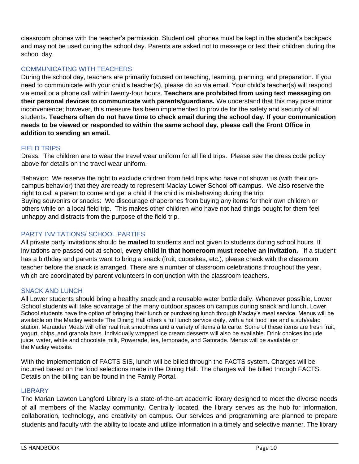classroom phones with the teacher's permission. Student cell phones must be kept in the student's backpack and may not be used during the school day. Parents are asked not to message or text their children during the school day.

# <span id="page-10-0"></span>COMMUNICATING WITH TEACHERS

During the school day, teachers are primarily focused on teaching, learning, planning, and preparation. If you need to communicate with your child's teacher(s), please do so via email. Your child's teacher(s) will respond via email or a phone call within twenty-four hours. **Teachers are prohibited from using text messaging on their personal devices to communicate with parents/guardians.** We understand that this may pose minor inconvenience; however, this measure has been implemented to provide for the safety and security of all students. **Teachers often do not have time to check email during the school day. If your communication needs to be viewed or responded to within the same school day, please call the Front Office in addition to sending an email.**

# <span id="page-10-1"></span>FIELD TRIPS

Dress: The children are to wear the travel wear uniform for all field trips. Please see the dress code policy above for details on the travel wear uniform.

Behavior: We reserve the right to exclude children from field trips who have not shown us (with their oncampus behavior) that they are ready to represent Maclay Lower School off-campus. We also reserve the right to call a parent to come and get a child if the child is misbehaving during the trip. Buying souvenirs or snacks: We discourage chaperones from buying any items for their own children or others while on a local field trip. This makes other children who have not had things bought for them feel unhappy and distracts from the purpose of the field trip.

# <span id="page-10-2"></span>PARTY INVITATIONS/ SCHOOL PARTIES

All private party invitations should be **mailed** to students and not given to students during school hours. If invitations are passed out at school, **every child in that homeroom must receive an invitation.** If a student has a birthday and parents want to bring a snack (fruit, cupcakes, etc.), please check with the classroom teacher before the snack is arranged. There are a number of classroom celebrations throughout the year, which are coordinated by parent volunteers in conjunction with the classroom teachers.

# <span id="page-10-3"></span>SNACK AND LUNCH

All Lower students should bring a healthy snack and a reusable water bottle daily. Whenever possible, Lower School students will take advantage of the many outdoor spaces on campus during snack and lunch. Lower School students have the option of bringing their lunch or purchasing lunch through Maclay's meal service. Menus will be available on the Maclay website The Dining Hall offers a full lunch service daily, with a hot food line and a sub/salad station. Marauder Meals will offer real fruit smoothies and a variety of items à la carte. Some of these items are fresh fruit, yogurt, chips, and granola bars. Individually wrapped ice cream desserts will also be available. Drink choices include juice, water, white and chocolate milk, Powerade, tea, lemonade, and Gatorade. Menus will be available on the Maclay website.

With the implementation of FACTS SIS, lunch will be billed through the FACTS system. Charges will be incurred based on the food selections made in the Dining Hall. The charges will be billed through FACTS. Details on the billing can be found in the Family Portal.

# <span id="page-10-4"></span>**LIBRARY**

The Marian Lawton Langford Library is a state-of-the-art academic library designed to meet the diverse needs of all members of the Maclay community. Centrally located, the library serves as the hub for information, collaboration, technology, and creativity on campus. Our services and programming are planned to prepare students and faculty with the ability to locate and utilize information in a timely and selective manner. The library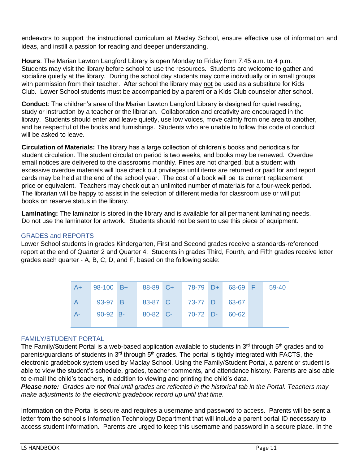endeavors to support the instructional curriculum at Maclay School, ensure effective use of information and ideas, and instill a passion for reading and deeper understanding.

**Hours**: The Marian Lawton Langford Library is open Monday to Friday from 7:45 a.m. to 4 p.m. Students may visit the library before school to use the resources. Students are welcome to gather and socialize quietly at the library. During the school day students may come individually or in small groups with permission from their teacher. After school the library may not be used as a substitute for Kids Club. Lower School students must be accompanied by a parent or a Kids Club counselor after school.

**Conduct**: The children's area of the Marian Lawton Langford Library is designed for quiet reading, study or instruction by a teacher or the librarian. Collaboration and creativity are encouraged in the library. Students should enter and leave quietly, use low voices, move calmly from one area to another, and be respectful of the books and furnishings. Students who are unable to follow this code of conduct will be asked to leave.

**Circulation of Materials:** The library has a large collection of children's books and periodicals for student circulation. The student circulation period is two weeks, and books may be renewed. Overdue email notices are delivered to the classrooms monthly. Fines are not charged, but a student with excessive overdue materials will lose check out privileges until items are returned or paid for and report cards may be held at the end of the school year. The cost of a book will be its current replacement price or equivalent. Teachers may check out an unlimited number of materials for a four-week period. The librarian will be happy to assist in the selection of different media for classroom use or will put books on reserve status in the library.

**Laminating:** The laminator is stored in the library and is available for all permanent laminating needs. Do not use the laminator for artwork. Students should not be sent to use this piece of equipment.

# <span id="page-11-0"></span>GRADES and REPORTS

Lower School students in grades Kindergarten, First and Second grades receive a standards-referenced report at the end of Quarter 2 and Quarter 4. Students in grades Third, Fourth, and Fifth grades receive letter grades each quarter - A, B, C, D, and F, based on the following scale:

|      | A+ 98-100 B+ 88-89 C+ 78-79 D+ 68-69 F |                               |                         |  | 59-40 |
|------|----------------------------------------|-------------------------------|-------------------------|--|-------|
|      |                                        | 93-97 B 83-87 C 73-77 D 63-67 |                         |  |       |
| $A-$ | $90-92$ B-                             |                               | 80-82 C- 70-72 D- 60-62 |  |       |
|      |                                        |                               |                         |  |       |

# <span id="page-11-1"></span>FAMILY/STUDENT PORTAL

The Family/Student Portal is a web-based application available to students in  $3<sup>rd</sup>$  through  $5<sup>th</sup>$  grades and to parents/guardians of students in 3<sup>rd</sup> through 5<sup>th</sup> grades. The portal is tightly integrated with FACTS, the electronic gradebook system used by Maclay School. Using the Family/Student Portal, a parent or student is able to view the student's schedule, grades, teacher comments, and attendance history. Parents are also able to e-mail the child's teachers, in addition to viewing and printing the child's data.

*Please note: Grades are not final until grades are reflected in the historical tab in the Portal. Teachers may make adjustments to the electronic gradebook record up until that time.* 

Information on the Portal is secure and requires a username and password to access. Parents will be sent a letter from the school's Information Technology Department that will include a parent portal ID necessary to access student information. Parents are urged to keep this username and password in a secure place. In the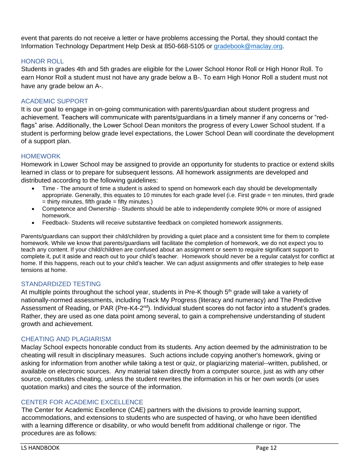event that parents do not receive a letter or have problems accessing the Portal, they should contact the Information Technology Department Help Desk at 850-668-5105 or [gradebook@maclay.org.](mailto:gradebook@maclay.org)

# <span id="page-12-0"></span>HONOR ROLL

Students in grades 4th and 5th grades are eligible for the Lower School Honor Roll or High Honor Roll. To earn Honor Roll a student must not have any grade below a B-. To earn High Honor Roll a student must not have any grade below an A-.

# <span id="page-12-1"></span>ACADEMIC SUPPORT

It is our goal to engage in on-going communication with parents/guardian about student progress and achievement. Teachers will communicate with parents/guardians in a timely manner if any concerns or "redflags" arise. Additionally, the Lower School Dean monitors the progress of every Lower School student. If a student is performing below grade level expectations, the Lower School Dean will coordinate the development of a support plan.

# <span id="page-12-2"></span>**HOMEWORK**

Homework in Lower School may be assigned to provide an opportunity for students to practice or extend skills learned in class or to prepare for subsequent lessons. All homework assignments are developed and distributed according to the following guidelines:

- Time The amount of time a student is asked to spend on homework each day should be developmentally appropriate. Generally, this equates to 10 minutes for each grade level (i.e. First grade = ten minutes, third grade  $=$  thirty minutes, fifth grade  $=$  fifty minutes.)
- Competence and Ownership Students should be able to independently complete 90% or more of assigned homework.
- Feedback- Students will receive substantive feedback on completed homework assignments.

Parents/guardians can support their child/children by providing a quiet place and a consistent time for them to complete homework. While we know that parents/guardians will facilitate the completion of homework, we do not expect you to teach any content. If your child/children are confused about an assignment or seem to require significant support to complete it, put it aside and reach out to your child's teacher. Homework should never be a regular catalyst for conflict at home. If this happens, reach out to your child's teacher. We can adjust assignments and offer strategies to help ease tensions at home.

# <span id="page-12-3"></span>STANDARDIZED TESTING

At multiple points throughout the school year, students in Pre-K though  $5<sup>th</sup>$  grade will take a variety of nationally-normed assessments, including Track My Progress (literacy and numeracy) and The Predictive Assessment of Reading, or PAR (Pre-K4-2<sup>nd</sup>). Individual student scores do not factor into a student's grades. Rather, they are used as one data point among several, to gain a comprehensive understanding of student growth and achievement.

# <span id="page-12-4"></span>CHEATING AND PLAGIARISM

Maclay School expects honorable conduct from its students. Any action deemed by the administration to be cheating will result in disciplinary measures. Such actions include copying another's homework, giving or asking for information from another while taking a test or quiz, or plagiarizing material--written, published, or available on electronic sources. Any material taken directly from a computer source, just as with any other source, constitutes cheating, unless the student rewrites the information in his or her own words (or uses quotation marks) and cites the source of the information.

# <span id="page-12-5"></span>CENTER FOR ACADEMIC EXCELLENCE

The Center for Academic Excellence (CAE) partners with the divisions to provide learning support, accommodations, and extensions to students who are suspected of having, or who have been identified with a learning difference or disability, or who would benefit from additional challenge or rigor. The procedures are as follows: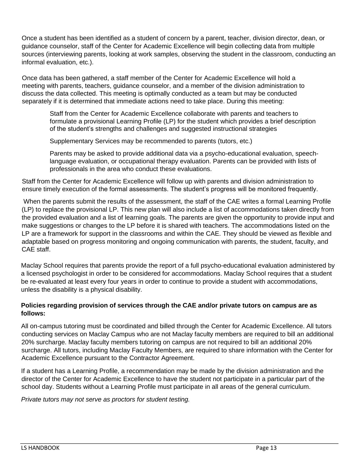Once a student has been identified as a student of concern by a parent, teacher, division director, dean, or guidance counselor, staff of the Center for Academic Excellence will begin collecting data from multiple sources (interviewing parents, looking at work samples, observing the student in the classroom, conducting an informal evaluation, etc.).

Once data has been gathered, a staff member of the Center for Academic Excellence will hold a meeting with parents, teachers, guidance counselor, and a member of the division administration to discuss the data collected. This meeting is optimally conducted as a team but may be conducted separately if it is determined that immediate actions need to take place. During this meeting:

Staff from the Center for Academic Excellence collaborate with parents and teachers to formulate a provisional Learning Profile (LP) for the student which provides a brief description of the student's strengths and challenges and suggested instructional strategies

Supplementary Services may be recommended to parents (tutors, etc.)

Parents may be asked to provide additional data via a psycho-educational evaluation, speechlanguage evaluation, or occupational therapy evaluation. Parents can be provided with lists of professionals in the area who conduct these evaluations.

Staff from the Center for Academic Excellence will follow up with parents and division administration to ensure timely execution of the formal assessments. The student's progress will be monitored frequently.

When the parents submit the results of the assessment, the staff of the CAE writes a formal Learning Profile (LP) to replace the provisional LP. This new plan will also include a list of accommodations taken directly from the provided evaluation and a list of learning goals. The parents are given the opportunity to provide input and make suggestions or changes to the LP before it is shared with teachers. The accommodations listed on the LP are a framework for support in the classrooms and within the CAE. They should be viewed as flexible and adaptable based on progress monitoring and ongoing communication with parents, the student, faculty, and CAE staff.

Maclay School requires that parents provide the report of a full psycho-educational evaluation administered by a licensed psychologist in order to be considered for accommodations. Maclay School requires that a student be re-evaluated at least every four years in order to continue to provide a student with accommodations, unless the disability is a physical disability.

# **Policies regarding provision of services through the CAE and/or private tutors on campus are as follows:**

All on-campus tutoring must be coordinated and billed through the Center for Academic Excellence. All tutors conducting services on Maclay Campus who are not Maclay faculty members are required to bill an additional 20% surcharge. Maclay faculty members tutoring on campus are not required to bill an additional 20% surcharge. All tutors, including Maclay Faculty Members, are required to share information with the Center for Academic Excellence pursuant to the Contractor Agreement.

If a student has a Learning Profile, a recommendation may be made by the division administration and the director of the Center for Academic Excellence to have the student not participate in a particular part of the school day. Students without a Learning Profile must participate in all areas of the general curriculum.

*Private tutors may not serve as proctors for student testing.*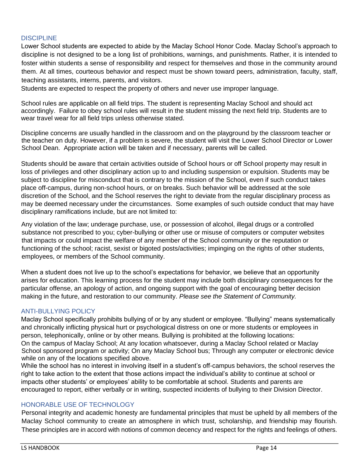# <span id="page-14-0"></span>**DISCIPLINE**

Lower School students are expected to abide by the Maclay School Honor Code. Maclay School's approach to discipline is not designed to be a long list of prohibitions, warnings, and punishments. Rather, it is intended to foster within students a sense of responsibility and respect for themselves and those in the community around them. At all times, courteous behavior and respect must be shown toward peers, administration, faculty, staff, teaching assistants, interns, parents, and visitors.

Students are expected to respect the property of others and never use improper language.

School rules are applicable on all field trips. The student is representing Maclay School and should act accordingly. Failure to obey school rules will result in the student missing the next field trip. Students are to wear travel wear for all field trips unless otherwise stated.

Discipline concerns are usually handled in the classroom and on the playground by the classroom teacher or the teacher on duty. However, if a problem is severe, the student will visit the Lower School Director or Lower School Dean. Appropriate action will be taken and if necessary, parents will be called.

Students should be aware that certain activities outside of School hours or off School property may result in loss of privileges and other disciplinary action up to and including suspension or expulsion. Students may be subject to discipline for misconduct that is contrary to the mission of the School, even if such conduct takes place off-campus, during non-school hours, or on breaks. Such behavior will be addressed at the sole discretion of the School, and the School reserves the right to deviate from the regular disciplinary process as may be deemed necessary under the circumstances. Some examples of such outside conduct that may have disciplinary ramifications include, but are not limited to:

Any violation of the law; underage purchase, use, or possession of alcohol, illegal drugs or a controlled substance not prescribed to you; cyber-bullying or other use or misuse of computers or computer websites that impacts or could impact the welfare of any member of the School community or the reputation or functioning of the school; racist, sexist or bigoted posts/activities; impinging on the rights of other students, employees, or members of the School community.

When a student does not live up to the school's expectations for behavior, we believe that an opportunity arises for education. This learning process for the student may include both disciplinary consequences for the particular offense, an apology of action, and ongoing support with the goal of encouraging better decision making in the future, and restoration to our community. *Please see the Statement of Community.* 

# <span id="page-14-1"></span>ANTI-BULLYING POLICY

Maclay School specifically prohibits bullying of or by any student or employee. "Bullying" means systematically and chronically inflicting physical hurt or psychological distress on one or more students or employees in person, telephonically, online or by other means. Bullying is prohibited at the following locations: On the campus of Maclay School; At any location whatsoever, during a Maclay School related or Maclay School sponsored program or activity; On any Maclay School bus; Through any computer or electronic device while on any of the locations specified above.

While the school has no interest in involving itself in a student's off-campus behaviors, the school reserves the right to take action to the extent that those actions impact the individual's ability to continue at school or impacts other students' or employees' ability to be comfortable at school. Students and parents are encouraged to report, either verbally or in writing, suspected incidents of bullying to their Division Director.

# <span id="page-14-2"></span>HONORABLE USE OF TECHNOLOGY

Personal integrity and academic honesty are fundamental principles that must be upheld by all members of the Maclay School community to create an atmosphere in which trust, scholarship, and friendship may flourish. These principles are in accord with notions of common decency and respect for the rights and feelings of others.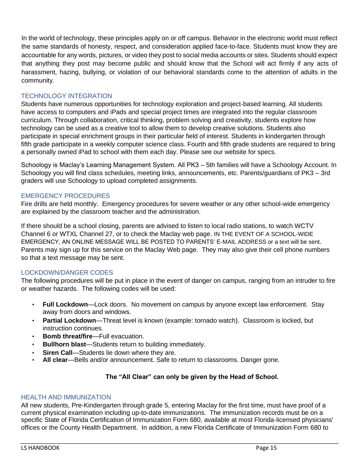In the world of technology, these principles apply on or off campus. Behavior in the electronic world must reflect the same standards of honesty, respect, and consideration applied face-to-face. Students must know they are accountable for any words, pictures, or video they post to social media accounts or sites. Students should expect that anything they post may become public and should know that the School will act firmly if any acts of harassment, hazing, bullying, or violation of our behavioral standards come to the attention of adults in the community.

# <span id="page-15-0"></span>TECHNOLOGY INTEGRATION

Students have numerous opportunities for technology exploration and project-based learning. All students have access to computers and iPads and special project times are integrated into the regular classroom curriculum. Through collaboration, critical thinking, problem solving and creativity, students explore how technology can be used as a creative tool to allow them to develop creative solutions. Students also participate in special enrichment groups in their particular field of interest. Students in kindergarten through fifth grade participate in a weekly computer science class. Fourth and fifth grade students are required to bring a personally owned iPad to school with them each day. Please see our website for specs.

Schoology is Maclay's Learning Management System. All PK3 – 5th families will have a Schoology Account. In Schoology you will find class schedules, meeting links, announcements, etc. Parents/guardians of PK3 – 3rd graders will use Schoology to upload completed assignments.

# <span id="page-15-1"></span>EMERGENCY PROCEDURES

Fire drills are held monthly. Emergency procedures for severe weather or any other school-wide emergency are explained by the classroom teacher and the administration.

If there should be a school closing, parents are advised to listen to local radio stations, to watch WCTV Channel 6 or WTXL Channel 27, or to check the Maclay web page. IN THE EVENT OF A SCHOOL-WIDE EMERGENCY, AN ONLINE MESSAGE WILL BE POSTED TO PARENTS' E-MAIL ADDRESS or a text will be sent. Parents may sign up for this service on the Maclay Web page. They may also give their cell phone numbers so that a text message may be sent.

# <span id="page-15-2"></span>LOCKDOWN/DANGER CODES

The following procedures will be put in place in the event of danger on campus, ranging from an intruder to fire or weather hazards. The following codes will be used:

- **Full Lockdown**—Lock doors. No movement on campus by anyone except law enforcement. Stay away from doors and windows.
- **Partial Lockdown**—Threat level is known (example: tornado watch). Classroom is locked, but instruction continues.
- **Bomb threat/fire—Full evacuation.**
- **Bullhorn blast**—Students return to building immediately.
- **Siren Call**—Students lie down where they are.
- **All clear**—Bells and/or announcement. Safe to return to classrooms. Danger gone.

# **The "All Clear" can only be given by the Head of School.**

# <span id="page-15-3"></span>HEALTH AND IMMUNIZATION

All new students, Pre-Kindergarten through grade 5, entering Maclay for the first time, must have proof of a current physical examination including up-to-date immunizations. The immunization records must be on a specific State of Florida Certification of Immunization Form 680, available at most Florida-licensed physicians' offices or the County Health Department. In addition, a new Florida Certificate of Immunization Form 680 to